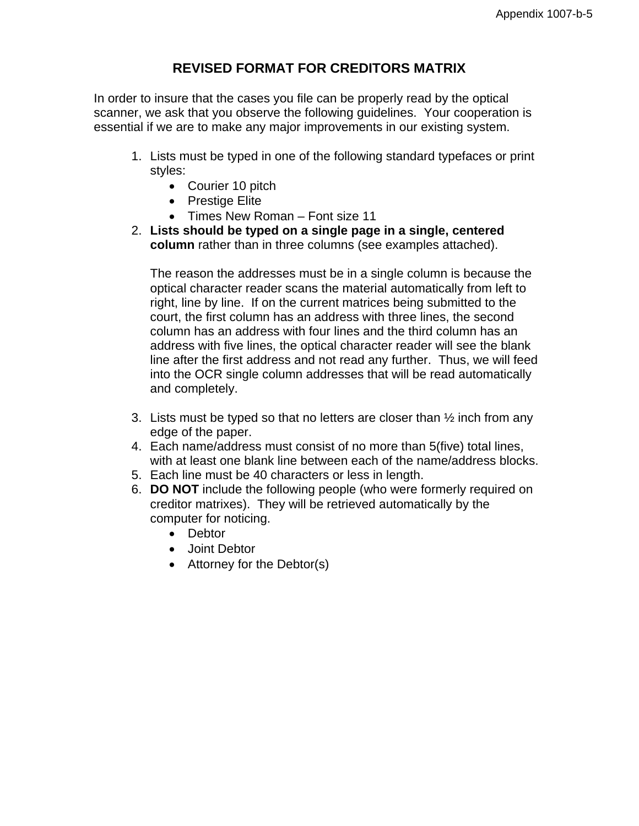## **REVISED FORMAT FOR CREDITORS MATRIX**

In order to insure that the cases you file can be properly read by the optical scanner, we ask that you observe the following guidelines. Your cooperation is essential if we are to make any major improvements in our existing system.

- 1. Lists must be typed in one of the following standard typefaces or print styles:
	- Courier 10 pitch
	- Prestige Elite
	- Times New Roman Font size 11
- 2. **Lists should be typed on a single page in a single, centered column** rather than in three columns (see examples attached).

The reason the addresses must be in a single column is because the optical character reader scans the material automatically from left to right, line by line. If on the current matrices being submitted to the court, the first column has an address with three lines, the second column has an address with four lines and the third column has an address with five lines, the optical character reader will see the blank line after the first address and not read any further. Thus, we will feed into the OCR single column addresses that will be read automatically and completely.

- 3. Lists must be typed so that no letters are closer than  $\frac{1}{2}$  inch from any edge of the paper.
- 4. Each name/address must consist of no more than 5(five) total lines, with at least one blank line between each of the name/address blocks.
- 5. Each line must be 40 characters or less in length.
- 6. **DO NOT** include the following people (who were formerly required on creditor matrixes). They will be retrieved automatically by the computer for noticing.
	- Debtor
	- Joint Debtor
	- Attorney for the Debtor(s)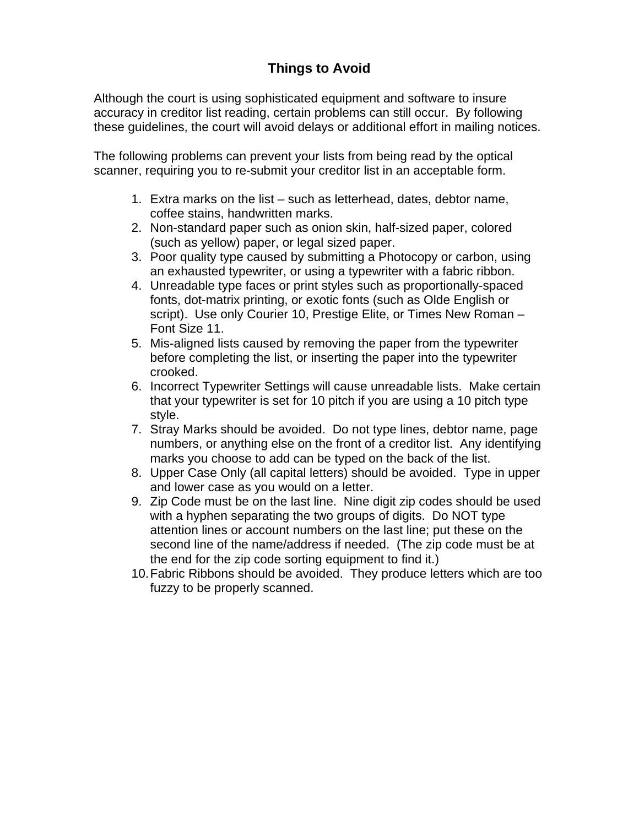# **Things to Avoid**

Although the court is using sophisticated equipment and software to insure accuracy in creditor list reading, certain problems can still occur. By following these guidelines, the court will avoid delays or additional effort in mailing notices.

The following problems can prevent your lists from being read by the optical scanner, requiring you to re-submit your creditor list in an acceptable form.

- 1. Extra marks on the list such as letterhead, dates, debtor name, coffee stains, handwritten marks.
- 2. Non-standard paper such as onion skin, half-sized paper, colored (such as yellow) paper, or legal sized paper.
- 3. Poor quality type caused by submitting a Photocopy or carbon, using an exhausted typewriter, or using a typewriter with a fabric ribbon.
- 4. Unreadable type faces or print styles such as proportionally-spaced fonts, dot-matrix printing, or exotic fonts (such as Olde English or script). Use only Courier 10, Prestige Elite, or Times New Roman – Font Size 11.
- 5. Mis-aligned lists caused by removing the paper from the typewriter before completing the list, or inserting the paper into the typewriter crooked.
- 6. Incorrect Typewriter Settings will cause unreadable lists. Make certain that your typewriter is set for 10 pitch if you are using a 10 pitch type style.
- 7. Stray Marks should be avoided. Do not type lines, debtor name, page numbers, or anything else on the front of a creditor list. Any identifying marks you choose to add can be typed on the back of the list.
- 8. Upper Case Only (all capital letters) should be avoided. Type in upper and lower case as you would on a letter.
- 9. Zip Code must be on the last line. Nine digit zip codes should be used with a hyphen separating the two groups of digits. Do NOT type attention lines or account numbers on the last line; put these on the second line of the name/address if needed. (The zip code must be at the end for the zip code sorting equipment to find it.)
- 10. Fabric Ribbons should be avoided. They produce letters which are too fuzzy to be properly scanned.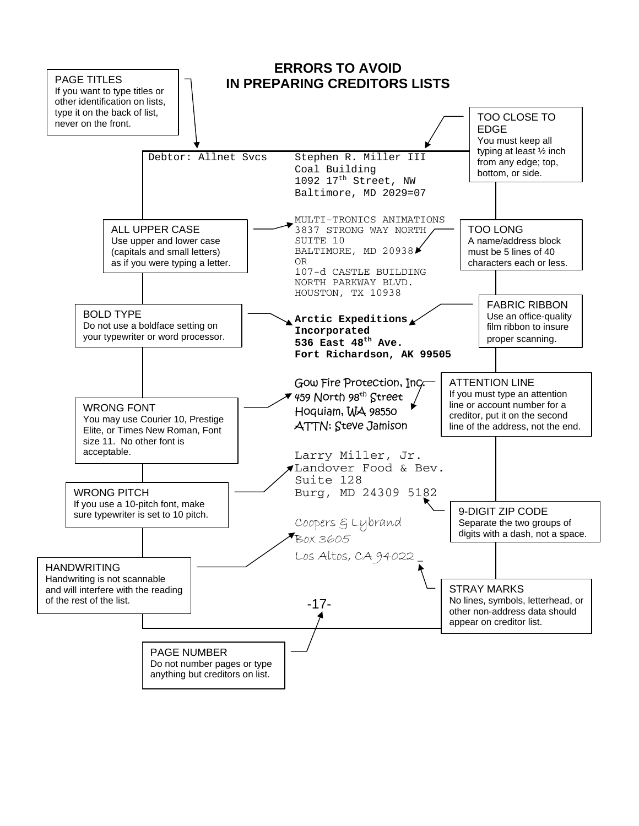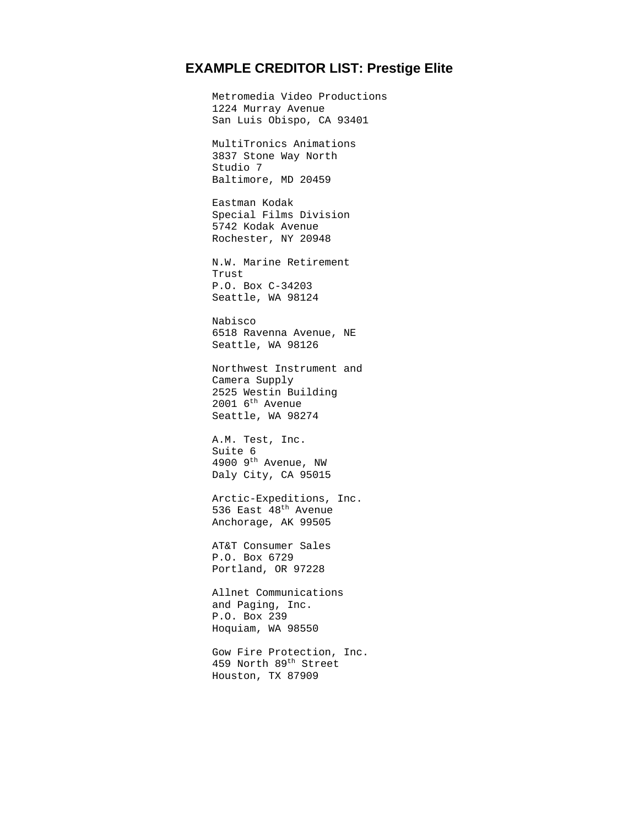### **EXAMPLE CREDITOR LIST: Prestige Elite**

 Metromedia Video Productions 1224 Murray Avenue San Luis Obispo, CA 93401 MultiTronics Animations 3837 Stone Way North Studio 7 Baltimore, MD 20459 Eastman Kodak Special Films Division 5742 Kodak Avenue Rochester, NY 20948 N.W. Marine Retirement Trust P.O. Box C-34203 Seattle, WA 98124 Nabisco 6518 Ravenna Avenue, NE Seattle, WA 98126 Northwest Instrument and Camera Supply 2525 Westin Building 2001  $6^{\text{th}}$  Avenue Seattle, WA 98274 A.M. Test, Inc. Suite 6 4900 9th Avenue, NW Daly City, CA 95015 Arctic-Expeditions, Inc. 536 East 48th Avenue Anchorage, AK 99505 AT&T Consumer Sales P.O. Box 6729 Portland, OR 97228 Allnet Communications and Paging, Inc. P.O. Box 239 Hoquiam, WA 98550 Gow Fire Protection, Inc.

459 North 89<sup>th</sup> Street Houston, TX 87909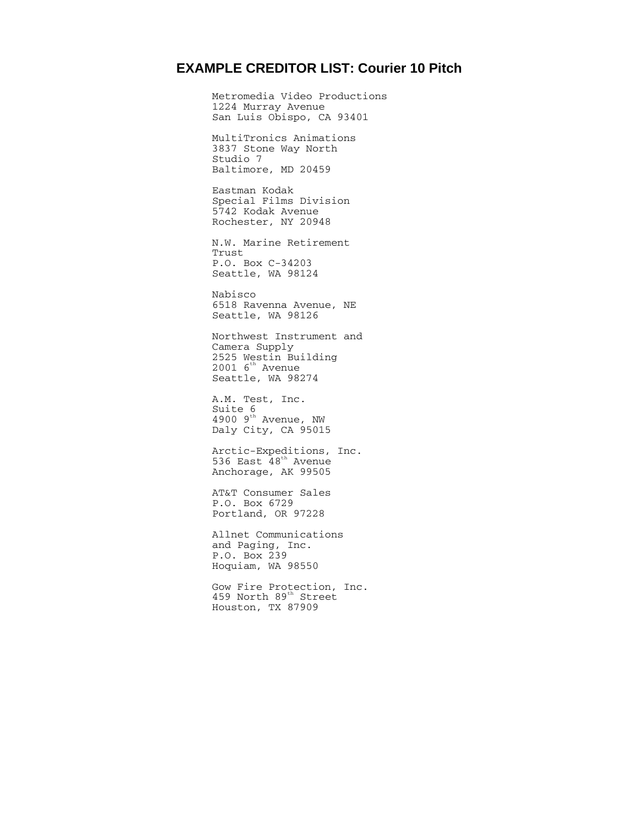### **EXAMPLE CREDITOR LIST: Courier 10 Pitch**

Metromedia Video Productions 1224 Murray Avenue San Luis Obispo, CA 93401 MultiTronics Animations 3837 Stone Way North Studio 7 Baltimore, MD 20459 Eastman Kodak Special Films Division 5742 Kodak Avenue Rochester, NY 20948 N.W. Marine Retirement Trust P.O. Box C-34203 Seattle, WA 98124 Nabisco 6518 Ravenna Avenue, NE Seattle, WA 98126 Northwest Instrument and Camera Supply 2525 Westin Building  $2001$  6<sup>th</sup> Avenue Seattle, WA 98274 A.M. Test, Inc. Suite 6 4900  $9<sup>th</sup>$  Avenue, NW Daly City, CA 95015 Arctic-Expeditions, Inc. 536 East  $48^{\text{th}}$  Avenue Anchorage, AK 99505 AT&T Consumer Sales P.O. Box 6729 Portland, OR 97228 Allnet Communications and Paging, Inc. P.O. Box 239 Hoquiam, WA 98550

Gow Fire Protection, Inc. 459 North 89<sup>th</sup> Street Houston, TX 87909